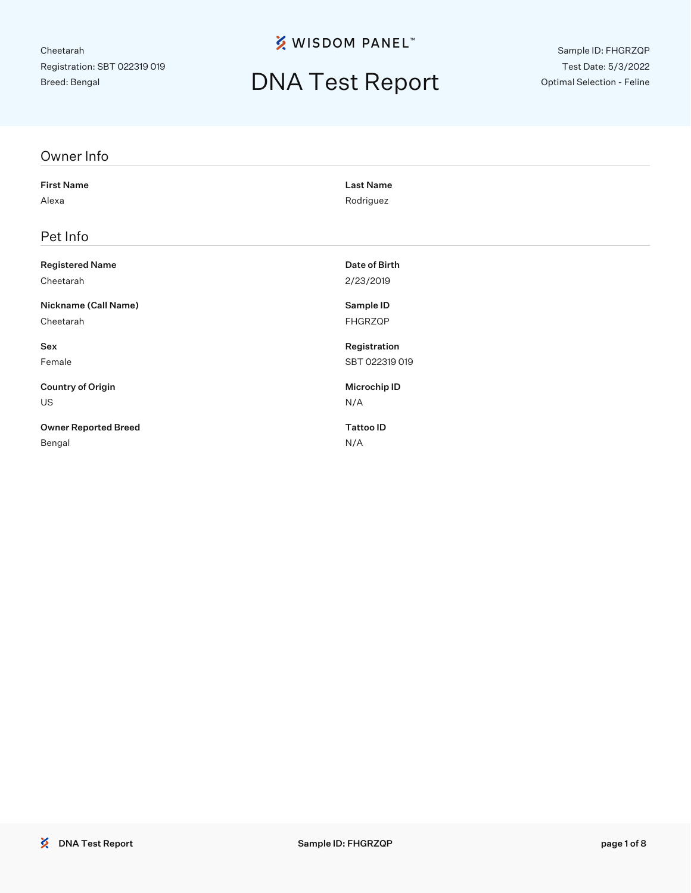**※ WISDOM PANEL**™

# DNA Test Report

Sample ID: FHGRZQP Test Date: 5/3/2022 Optimal Selection - Feline

| Owner Info                  |                     |
|-----------------------------|---------------------|
| <b>First Name</b>           | <b>Last Name</b>    |
| Alexa                       | Rodriguez           |
| Pet Info                    |                     |
| <b>Registered Name</b>      | Date of Birth       |
| Cheetarah                   | 2/23/2019           |
| Nickname (Call Name)        | Sample ID           |
| Cheetarah                   | FHGRZQP             |
| Sex                         | Registration        |
| Female                      | SBT 022319 019      |
| <b>Country of Origin</b>    | <b>Microchip ID</b> |
| US                          | N/A                 |
| <b>Owner Reported Breed</b> | <b>Tattoo ID</b>    |
| Bengal                      | N/A                 |
|                             |                     |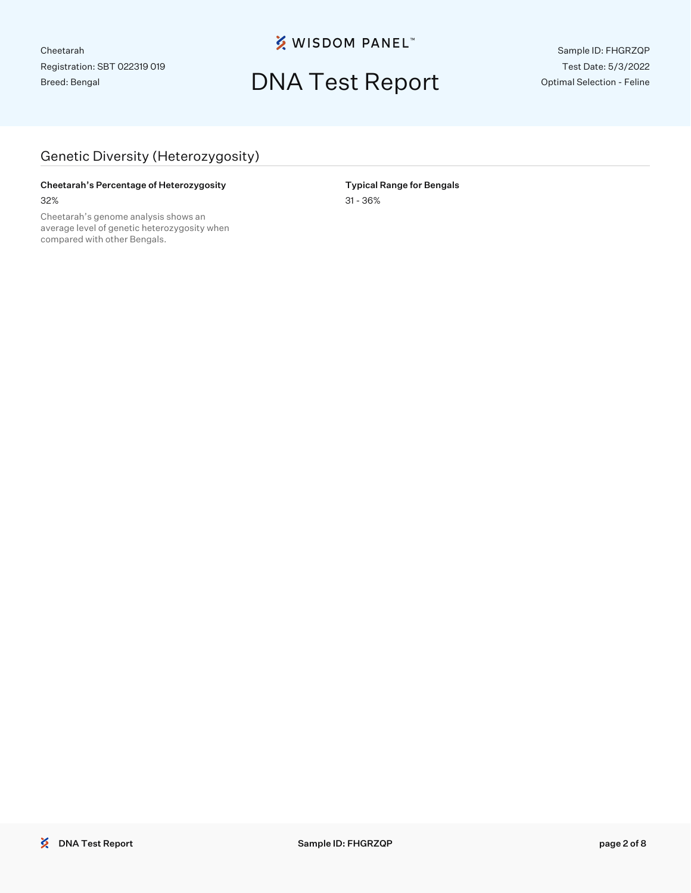**※ WISDOM PANEL**™

## DNA Test Report

Sample ID: FHGRZQP Test Date: 5/3/2022 Optimal Selection - Feline

### Genetic Diversity (Heterozygosity)

#### Cheetarah's Percentage of Heterozygosity **Typical Range for Bengals** 32% 31 - 36%

Cheetarah's genome analysis shows an average level of genetic heterozygosity when compared with other Bengals.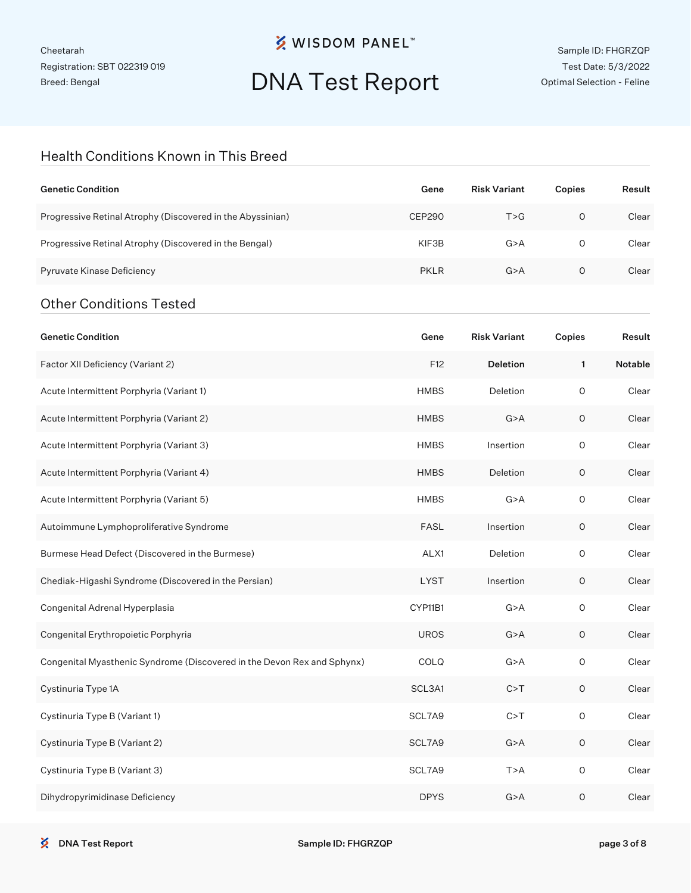### **※ WISDOM PANEL**™

# DNA Test Report

Sample ID: FHGRZQP Test Date: 5/3/2022 Optimal Selection - Feline

### Health Conditions Known in This Breed

| <b>Genetic Condition</b>                                                | Gene          | <b>Risk Variant</b> | Copies      | Result  |
|-------------------------------------------------------------------------|---------------|---------------------|-------------|---------|
| Progressive Retinal Atrophy (Discovered in the Abyssinian)              | <b>CEP290</b> | T > G               | $\circ$     | Clear   |
| Progressive Retinal Atrophy (Discovered in the Bengal)                  | KIF3B         | G > A               | $\circ$     | Clear   |
| Pyruvate Kinase Deficiency                                              | <b>PKLR</b>   | G > A               | $\circ$     | Clear   |
| <b>Other Conditions Tested</b>                                          |               |                     |             |         |
| <b>Genetic Condition</b>                                                | Gene          | <b>Risk Variant</b> | Copies      | Result  |
| Factor XII Deficiency (Variant 2)                                       | F12           | <b>Deletion</b>     | 1           | Notable |
| Acute Intermittent Porphyria (Variant 1)                                | <b>HMBS</b>   | Deletion            | $\circ$     | Clear   |
| Acute Intermittent Porphyria (Variant 2)                                | <b>HMBS</b>   | G > A               | $\circ$     | Clear   |
| Acute Intermittent Porphyria (Variant 3)                                | <b>HMBS</b>   | Insertion           | 0           | Clear   |
| Acute Intermittent Porphyria (Variant 4)                                | <b>HMBS</b>   | Deletion            | $\circ$     | Clear   |
| Acute Intermittent Porphyria (Variant 5)                                | <b>HMBS</b>   | G > A               | 0           | Clear   |
| Autoimmune Lymphoproliferative Syndrome                                 | <b>FASL</b>   | Insertion           | $\circ$     | Clear   |
| Burmese Head Defect (Discovered in the Burmese)                         | ALX1          | Deletion            | 0           | Clear   |
| Chediak-Higashi Syndrome (Discovered in the Persian)                    | <b>LYST</b>   | Insertion           | $\circ$     | Clear   |
| Congenital Adrenal Hyperplasia                                          | CYP11B1       | G > A               | 0           | Clear   |
| Congenital Erythropoietic Porphyria                                     | <b>UROS</b>   | G > A               | $\circ$     | Clear   |
| Congenital Myasthenic Syndrome (Discovered in the Devon Rex and Sphynx) | COLQ          | G > A               | $\circ$     | Clear   |
| Cystinuria Type 1A                                                      | SCL3A1        | C > T               | $\mathsf O$ | Clear   |
| Cystinuria Type B (Variant 1)                                           | SCL7A9        | C > T               | $\mathsf O$ | Clear   |
| Cystinuria Type B (Variant 2)                                           | SCL7A9        | G > A               | $\mathsf O$ | Clear   |
| Cystinuria Type B (Variant 3)                                           | SCL7A9        | T > A               | $\mathsf O$ | Clear   |
| Dihydropyrimidinase Deficiency                                          | <b>DPYS</b>   | G > A               | $\circ$     | Clear   |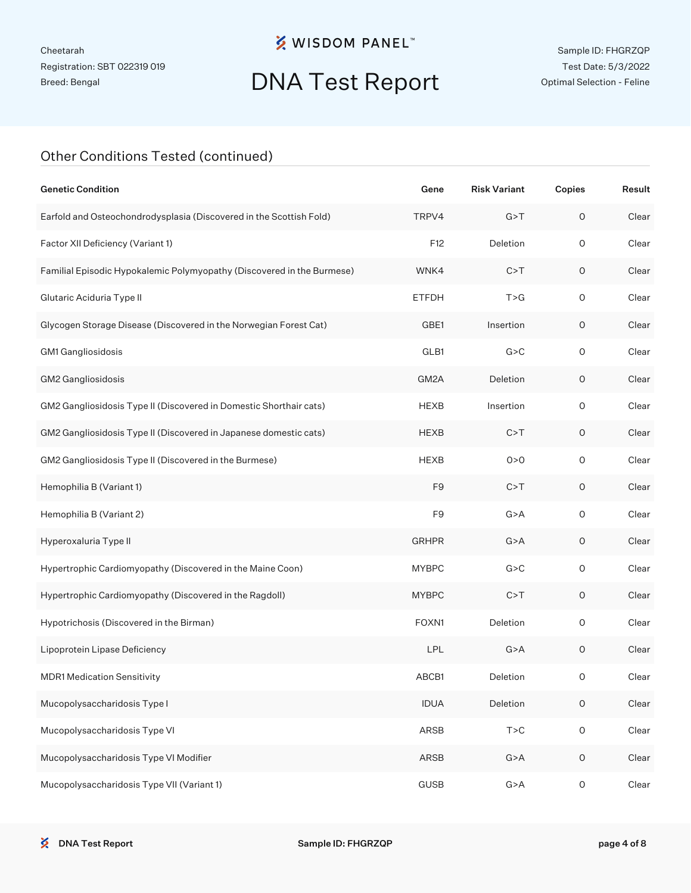### **※ WISDOM PANEL**™

# DNA Test Report

### Other Conditions Tested (continued)

| <b>Genetic Condition</b>                                               | Gene           | <b>Risk Variant</b> | Copies              | Result |
|------------------------------------------------------------------------|----------------|---------------------|---------------------|--------|
| Earfold and Osteochondrodysplasia (Discovered in the Scottish Fold)    | TRPV4          | G > T               | $\circ$             | Clear  |
| Factor XII Deficiency (Variant 1)                                      | F12            | Deletion            | $\mathsf O$         | Clear  |
| Familial Episodic Hypokalemic Polymyopathy (Discovered in the Burmese) | WNK4           | C > T               | $\mathsf O$         | Clear  |
| Glutaric Aciduria Type II                                              | <b>ETFDH</b>   | T > G               | $\mathsf O$         | Clear  |
| Glycogen Storage Disease (Discovered in the Norwegian Forest Cat)      | GBE1           | Insertion           | $\mathsf O$         | Clear  |
| GM1 Gangliosidosis                                                     | GLB1           | G > C               | $\mathsf O$         | Clear  |
| GM2 Gangliosidosis                                                     | GM2A           | Deletion            | $\mathsf O$         | Clear  |
| GM2 Gangliosidosis Type II (Discovered in Domestic Shorthair cats)     | <b>HEXB</b>    | Insertion           | $\mathsf O$         | Clear  |
| GM2 Gangliosidosis Type II (Discovered in Japanese domestic cats)      | <b>HEXB</b>    | C > T               | $\mathsf O$         | Clear  |
| GM2 Gangliosidosis Type II (Discovered in the Burmese)                 | <b>HEXB</b>    | 0 > 0               | $\mathsf O$         | Clear  |
| Hemophilia B (Variant 1)                                               | F <sub>9</sub> | C > T               | $\mathsf O$         | Clear  |
| Hemophilia B (Variant 2)                                               | F <sub>9</sub> | G > A               | $\circ$             | Clear  |
| Hyperoxaluria Type II                                                  | <b>GRHPR</b>   | G > A               | $\circ$             | Clear  |
| Hypertrophic Cardiomyopathy (Discovered in the Maine Coon)             | <b>MYBPC</b>   | G > C               | $\circ$             | Clear  |
| Hypertrophic Cardiomyopathy (Discovered in the Ragdoll)                | <b>MYBPC</b>   | C > T               | $\mathsf O$         | Clear  |
| Hypotrichosis (Discovered in the Birman)                               | FOXN1          | Deletion            | $\circ$             | Clear  |
| Lipoprotein Lipase Deficiency                                          | LPL            | G > A               | $\mathsf O$         | Clear  |
| <b>MDR1 Medication Sensitivity</b>                                     | ABCB1          | Deletion            | 0                   | Clear  |
| Mucopolysaccharidosis Type I                                           | <b>IDUA</b>    | Deletion            | $\mathsf O$         | Clear  |
| Mucopolysaccharidosis Type VI                                          | ARSB           | T > C               | $\mathsf{O}\xspace$ | Clear  |
| Mucopolysaccharidosis Type VI Modifier                                 | ARSB           | G > A               | $\mathsf O$         | Clear  |
| Mucopolysaccharidosis Type VII (Variant 1)                             | <b>GUSB</b>    | G > A               | $\mathsf O$         | Clear  |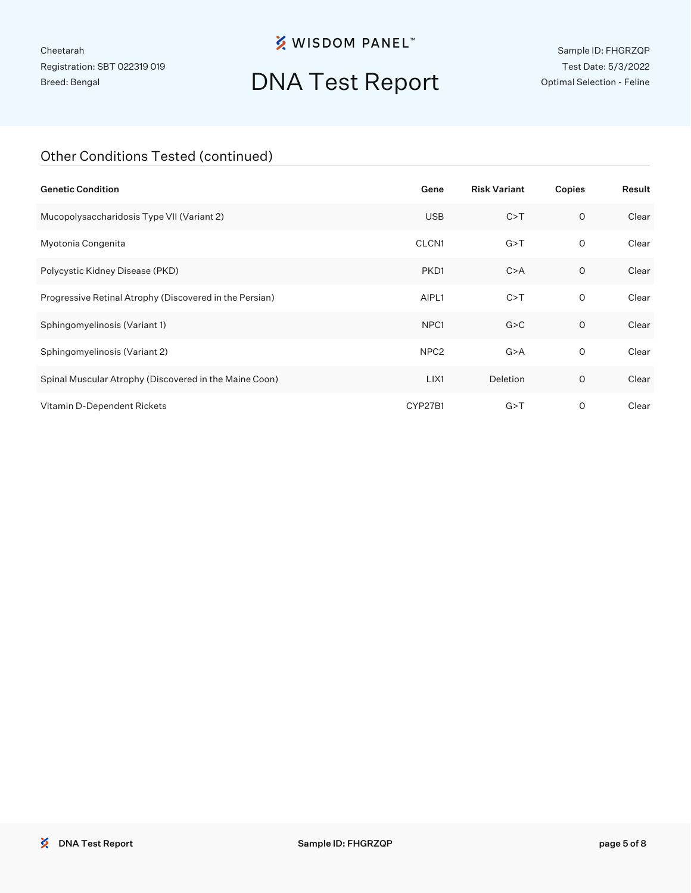### **※ WISDOM PANEL**™

# DNA Test Report

Sample ID: FHGRZQP Test Date: 5/3/2022 Optimal Selection - Feline

### Other Conditions Tested (continued)

| <b>Genetic Condition</b>                                | Gene             | <b>Risk Variant</b> | Copies       | Result |
|---------------------------------------------------------|------------------|---------------------|--------------|--------|
| Mucopolysaccharidosis Type VII (Variant 2)              | <b>USB</b>       | C > T               | $\circ$      | Clear  |
| Myotonia Congenita                                      | CLCN1            | G > T               | 0            | Clear  |
| Polycystic Kidney Disease (PKD)                         | PKD1             | C > A               | 0            | Clear  |
| Progressive Retinal Atrophy (Discovered in the Persian) | AIPL1            | C > T               | $\mathsf{O}$ | Clear  |
| Sphingomyelinosis (Variant 1)                           | NPC <sub>1</sub> | G > C               | $\circ$      | Clear  |
| Sphingomyelinosis (Variant 2)                           | NPC <sub>2</sub> | G > A               | 0            | Clear  |
| Spinal Muscular Atrophy (Discovered in the Maine Coon)  | LIX1             | Deletion            | O            | Clear  |
| Vitamin D-Dependent Rickets                             | CYP27B1          | G > T               | O            | Clear  |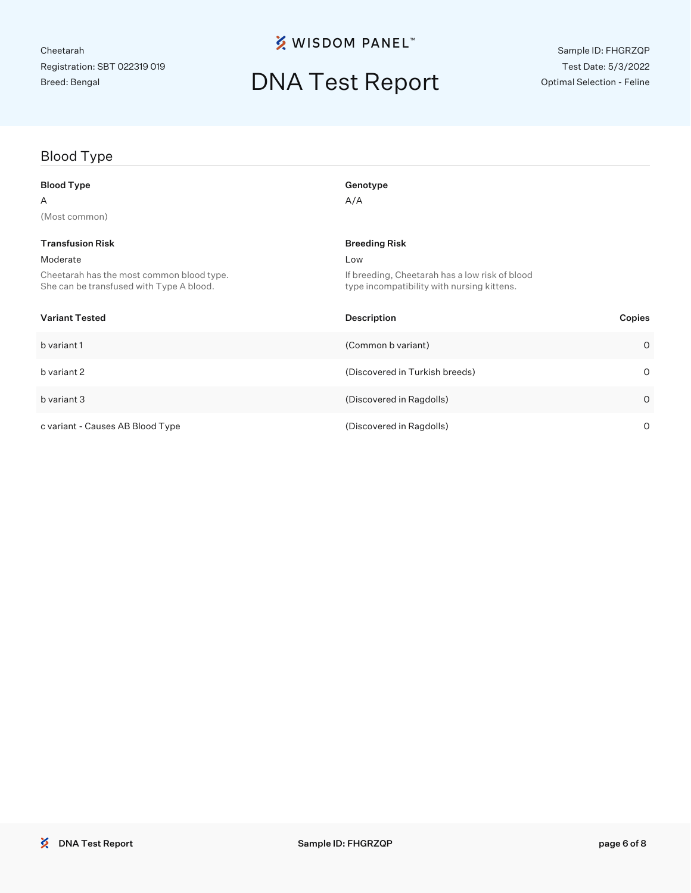## **※ WISDOM PANEL**™

# DNA Test Report

## Blood Type

| <b>Blood Type</b>                                                                     | Genotype                                                                                     |
|---------------------------------------------------------------------------------------|----------------------------------------------------------------------------------------------|
| Α                                                                                     | A/A                                                                                          |
| (Most common)                                                                         |                                                                                              |
| <b>Transfusion Risk</b>                                                               | <b>Breeding Risk</b>                                                                         |
| Moderate                                                                              | Low                                                                                          |
| Cheetarah has the most common blood type.<br>She can be transfused with Type A blood. | If breeding, Cheetarah has a low risk of blood<br>type incompatibility with nursing kittens. |
| <b>Variant Tested</b>                                                                 | <b>Description</b><br>Copies                                                                 |
| b variant 1                                                                           | (Common b variant)<br>$\circ$                                                                |
| b variant 2                                                                           | (Discovered in Turkish breeds)<br>$\circ$                                                    |
| b variant 3                                                                           | (Discovered in Ragdolls)<br>$\circ$                                                          |
| c variant - Causes AB Blood Type                                                      | (Discovered in Ragdolls)<br>$\circ$                                                          |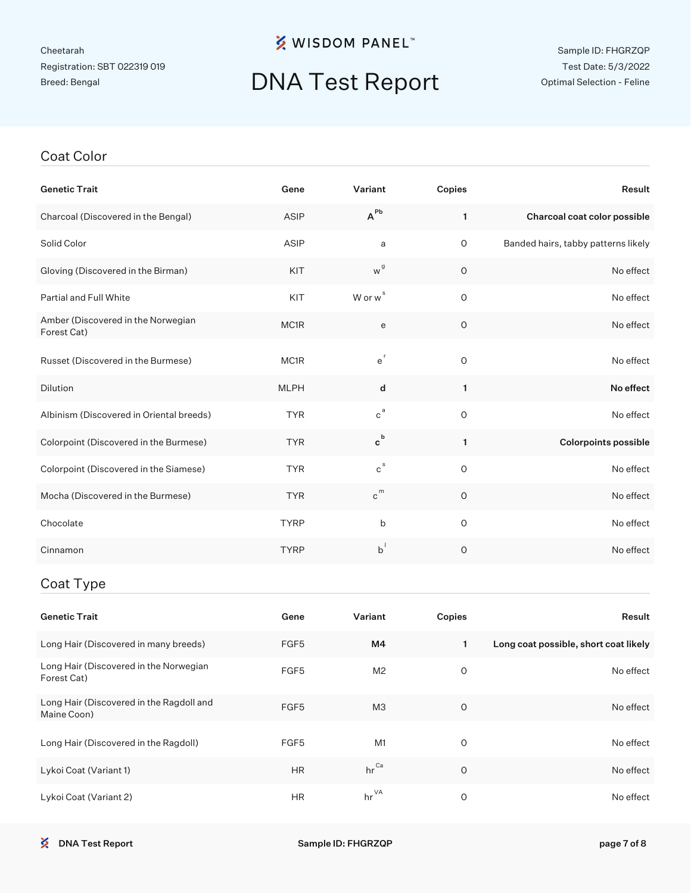### **※ WISDOM PANEL**™

# DNA Test Report

#### Sample ID: FHGRZQP Test Date: 5/3/2022 Optimal Selection - Feline

#### Coat Color

| <b>Genetic Trait</b>                              | Gene              | Variant                     | Copies      | Result                              |
|---------------------------------------------------|-------------------|-----------------------------|-------------|-------------------------------------|
| Charcoal (Discovered in the Bengal)               | ASIP              | $A^{Pb}$                    | 1           | Charcoal coat color possible        |
| Solid Color                                       | <b>ASIP</b>       | a                           | $\circ$     | Banded hairs, tabby patterns likely |
| Gloving (Discovered in the Birman)                | KIT               | w <sup>g</sup>              | O           | No effect                           |
| <b>Partial and Full White</b>                     | KIT               | W or w <sup>s</sup>         | $\mathsf O$ | No effect                           |
| Amber (Discovered in the Norwegian<br>Forest Cat) | MC <sub>1</sub> R | e                           | $\circ$     | No effect                           |
| Russet (Discovered in the Burmese)                | MC1R              | $e^{r}$                     | 0           | No effect                           |
| <b>Dilution</b>                                   | <b>MLPH</b>       | d                           | 1           | No effect                           |
| Albinism (Discovered in Oriental breeds)          | <b>TYR</b>        | $c^a$                       | $\circ$     | No effect                           |
| Colorpoint (Discovered in the Burmese)            | <b>TYR</b>        | $\mathbf{c}^{\,\mathsf{b}}$ | 1           | <b>Colorpoints possible</b>         |
| Colorpoint (Discovered in the Siamese)            | <b>TYR</b>        | $\mathtt{c}^{\,\text{s}}$   | $\circ$     | No effect                           |
| Mocha (Discovered in the Burmese)                 | <b>TYR</b>        | c <sup>m</sup>              | $\circ$     | No effect                           |
| Chocolate                                         | <b>TYRP</b>       | b                           | $\circ$     | No effect                           |
| Cinnamon                                          | <b>TYRP</b>       | $b^{\dagger}$               | $\circ$     | No effect                           |
|                                                   |                   |                             |             |                                     |

### Coat Type

| <b>Genetic Trait</b>                                    | Gene             | Variant          | Copies  | Result                                |
|---------------------------------------------------------|------------------|------------------|---------|---------------------------------------|
| Long Hair (Discovered in many breeds)                   | FGF5             | M4               | 1.      | Long coat possible, short coat likely |
| Long Hair (Discovered in the Norwegian<br>Forest Cat)   | FGF <sub>5</sub> | M <sub>2</sub>   | O       | No effect                             |
| Long Hair (Discovered in the Ragdoll and<br>Maine Coon) | FGF <sub>5</sub> | M <sub>3</sub>   | $\circ$ | No effect                             |
| Long Hair (Discovered in the Ragdoll)                   | FGF <sub>5</sub> | M1               | 0       | No effect                             |
| Lykoi Coat (Variant 1)                                  | <b>HR</b>        | $hr^{\text{Ca}}$ | O       | No effect                             |
| Lykoi Coat (Variant 2)                                  | <b>HR</b>        | $hr^{\vee A}$    | O       | No effect                             |